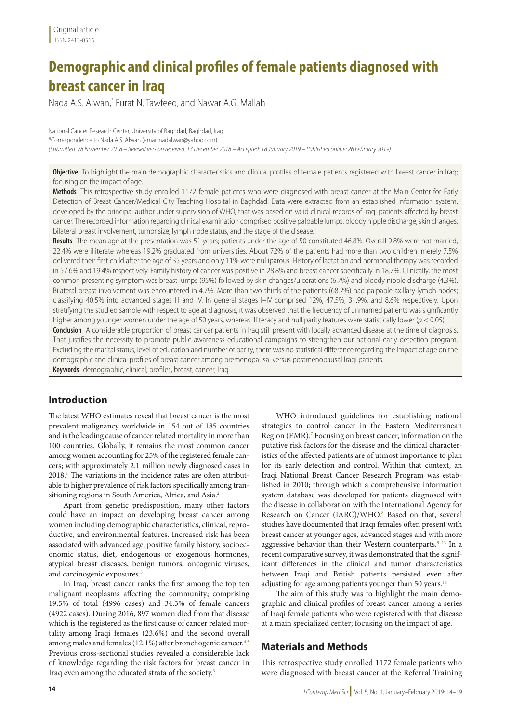# **Demographic and clinical profiles of female patients diagnosed with breast cancer in Iraq**

Nada A.S. Alwan,\* Furat N. Tawfeeq, and Nawar A.G. Mallah

National Cancer Research Center, University of Baghdad, Baghdad, Iraq. \*Correspondence to Nada A.S. Alwan (email:nadalwan@yahoo.com). *(Submitted: 28 November 2018 – Revised version received: 13 December 2018 – Accepted: 18 January 2019 – Published online: 26 February 2019)*

**Objective** To highlight the main demographic characteristics and clinical profiles of female patients registered with breast cancer in Iraq; focusing on the impact of age.

**Methods** This retrospective study enrolled 1172 female patients who were diagnosed with breast cancer at the Main Center for Early Detection of Breast Cancer/Medical City Teaching Hospital in Baghdad. Data were extracted from an established information system, developed by the principal author under supervision of WHO, that was based on valid clinical records of Iraqi patients affected by breast cancer. The recorded information regarding clinical examination comprised positive palpable lumps, bloody nipple discharge, skin changes, bilateral breast involvement, tumor size, lymph node status, and the stage of the disease.

**Results** The mean age at the presentation was 51 years; patients under the age of 50 constituted 46.8%. Overall 9.8% were not married, 22.4% were illiterate whereas 19.2% graduated from universities. About 72% of the patients had more than two children, merely 7.5% delivered their first child after the age of 35 years and only 11% were nulliparous. History of lactation and hormonal therapy was recorded in 57.6% and 19.4% respectively. Family history of cancer was positive in 28.8% and breast cancer specifically in 18.7%. Clinically, the most common presenting symptom was breast lumps (95%) followed by skin changes/ulcerations (6.7%) and bloody nipple discharge (4.3%). Bilateral breast involvement was encountered in 4.7%. More than two-thirds of the patients (68.2%) had palpable axillary lymph nodes; classifying 40.5% into advanced stages III and IV. In general stages I–IV comprised 12%, 47.5%, 31.9%, and 8.6% respectively. Upon stratifying the studied sample with respect to age at diagnosis, it was observed that the frequency of unmarried patients was significantly higher among younger women under the age of 50 years, whereas illiteracy and nulliparity features were statistically lower (*p* < 0.05). **Conclusion** A considerable proportion of breast cancer patients in Iraq still present with locally advanced disease at the time of diagnosis.

That justifies the necessity to promote public awareness educational campaigns to strengthen our national early detection program. Excluding the marital status, level of education and number of parity, there was no statistical difference regarding the impact of age on the demographic and clinical profiles of breast cancer among premenopausal versus postmenopausal Iraqi patients.

**Keywords** demographic, clinical, profiles, breast, cancer, Iraq

## **Introduction**

The latest WHO estimates reveal that breast cancer is the most prevalent malignancy worldwide in 154 out of 185 countries and is the leading cause of cancer related mortality in more than 100 countries. Globally, it remains the most common cancer among women accounting for 25% of the registered female cancers; with approximately 2.1 million newly diagnosed cases in 2018.<sup>1</sup> The variations in the incidence rates are often attributable to higher prevalence of risk factors specifically among transitioning regions in South America, Africa, and Asia.<sup>2</sup>

Apart from genetic predisposition, many other factors could have an impact on developing breast cancer among women including demographic characteristics, clinical, reproductive, and environmental features. Increased risk has been associated with advanced age, positive family history, socioeconomic status, diet, endogenous or exogenous hormones, atypical breast diseases, benign tumors, oncogenic viruses, and carcinogenic exposures.<sup>3</sup>

In Iraq, breast cancer ranks the first among the top ten malignant neoplasms affecting the community; comprising 19.5% of total (4996 cases) and 34.3% of female cancers (4922 cases). During 2016, 897 women died from that disease which is the registered as the first cause of cancer related mortality among Iraqi females (23.6%) and the second overall among males and females (12.1%) after bronchogenic cancer.<sup>4,5</sup> Previous cross-sectional studies revealed a considerable lack of knowledge regarding the risk factors for breast cancer in Iraq even among the educated strata of the society.6

WHO introduced guidelines for establishing national strategies to control cancer in the Eastern Mediterranean Region (EMR).<sup>7</sup> Focusing on breast cancer, information on the putative risk factors for the disease and the clinical characteristics of the affected patients are of utmost importance to plan for its early detection and control. Within that context, an Iraqi National Breast Cancer Research Program was established in 2010; through which a comprehensive information system database was developed for patients diagnosed with the disease in collaboration with the International Agency for Research on Cancer (IARC)/WHO.<sup>8</sup> Based on that, several studies have documented that Iraqi females often present with breast cancer at younger ages, advanced stages and with more aggressive behavior than their Western counterparts. $9-13$  In a recent comparative survey, it was demonstrated that the significant differences in the clinical and tumor characteristics between Iraqi and British patients persisted even after adjusting for age among patients younger than 50 years.<sup>14</sup>

The aim of this study was to highlight the main demographic and clinical profiles of breast cancer among a series of Iraqi female patients who were registered with that disease at a main specialized center; focusing on the impact of age.

#### **Materials and Methods**

This retrospective study enrolled 1172 female patients who were diagnosed with breast cancer at the Referral Training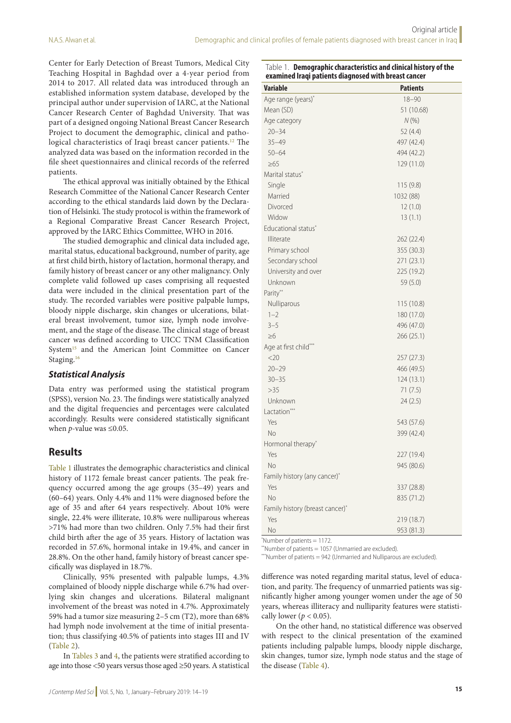Table 1. **Demographic characteristics and clinical history of the** 

Center for Early Detection of Breast Tumors, Medical City Teaching Hospital in Baghdad over a 4-year period from 2014 to 2017. All related data was introduced through an established information system database, developed by the principal author under supervision of IARC, at the National Cancer Research Center of Baghdad University. That was part of a designed ongoing National Breast Cancer Research Project to document the demographic, clinical and pathological characteristics of Iraqi breast cancer patients.12 The analyzed data was based on the information recorded in the file sheet questionnaires and clinical records of the referred patients.

The ethical approval was initially obtained by the Ethical Research Committee of the National Cancer Research Center according to the ethical standards laid down by the Declaration of Helsinki. The study protocol is within the framework of a Regional Comparative Breast Cancer Research Project, approved by the IARC Ethics Committee, WHO in 2016.

The studied demographic and clinical data included age, marital status, educational background, number of parity, age at first child birth, history of lactation, hormonal therapy, and family history of breast cancer or any other malignancy. Only complete valid followed up cases comprising all requested data were included in the clinical presentation part of the study. The recorded variables were positive palpable lumps, bloody nipple discharge, skin changes or ulcerations, bilateral breast involvement, tumor size, lymph node involvement, and the stage of the disease. The clinical stage of breast cancer was defined according to UICC TNM Classification System<sup>15</sup> and the American Joint Committee on Cancer Staging.<sup>16</sup>

#### *Statistical Analysis*

Data entry was performed using the statistical program (SPSS), version No. 23. The findings were statistically analyzed and the digital frequencies and percentages were calculated accordingly. Results were considered statistically significant when *p-*value was ≤0.05.

#### **Results**

Table 1 illustrates the demographic characteristics and clinical history of 1172 female breast cancer patients. The peak frequency occurred among the age groups (35–49) years and (60–64) years. Only 4.4% and 11% were diagnosed before the age of 35 and after 64 years respectively. About 10% were single, 22.4% were illiterate, 10.8% were nulliparous whereas >71% had more than two children. Only 7.5% had their first child birth after the age of 35 years. History of lactation was recorded in 57.6%, hormonal intake in 19.4%, and cancer in 28.8%. On the other hand, family history of breast cancer specifically was displayed in 18.7%.

Clinically, 95% presented with palpable lumps, 4.3% complained of bloody nipple discharge while 6.7% had overlying skin changes and ulcerations. Bilateral malignant involvement of the breast was noted in 4.7%. Approximately 59% had a tumor size measuring 2–5 cm (T2), more than 68% had lymph node involvement at the time of initial presentation; thus classifying 40.5% of patients into stages III and IV (Table 2).

In Tables 3 and 4, the patients were stratified according to age into those <50 years versus those aged ≥50 years. A statistical

| examined Iraqi patients diagnosed with breast cancer |                 |
|------------------------------------------------------|-----------------|
| <b>Variable</b>                                      | <b>Patients</b> |
| Age range (years)*                                   | $18 - 90$       |
| Mean (SD)                                            | 51 (10.68)      |
| Age category                                         | N(% )           |
| $20 - 34$                                            | 52 (4.4)        |
| $35 - 49$                                            | 497 (42.4)      |
| $50 - 64$                                            | 494 (42.2)      |
| $\geq 65$                                            | 129 (11.0)      |
| Marital status*                                      |                 |
| Single                                               | 115 (9.8)       |
| Married                                              | 1032 (88)       |
| Divorced                                             | 12(1.0)         |
| Widow                                                | 13(1.1)         |
| Educational status <sup>*</sup>                      |                 |
| Illiterate                                           | 262 (22.4)      |
| Primary school                                       | 355 (30.3)      |
| Secondary school                                     | 271 (23.1)      |
| University and over                                  | 225 (19.2)      |
| Unknown                                              | 59 (5.0)        |
| Parity**                                             |                 |
| Nulliparous                                          | 115 (10.8)      |
| $1 - 2$                                              | 180 (17.0)      |
| $3 - 5$                                              | 496 (47.0)      |
| $\geq 6$                                             | 266 (25.1)      |
| Age at first child***                                |                 |
| <20                                                  | 257(27.3)       |
| $20 - 29$                                            | 466 (49.5)      |
| $30 - 35$                                            | 124 (13.1)      |
| >35                                                  | 71(7.5)         |
| Unknown                                              | 24(2.5)         |
| Lactation***                                         |                 |
| Yes                                                  | 543 (57.6)      |
| No                                                   | 399 (42.4)      |
| Hormonal therapy*                                    |                 |
| Yes                                                  | 227 (19.4)      |
| No                                                   | 945 (80.6)      |
| Family history (any cancer)*                         |                 |
| Yes                                                  | 337 (28.8)      |
| <b>No</b>                                            | 835 (71.2)      |
| Family history (breast cancer)*                      |                 |
| Yes                                                  | 219 (18.7)      |
| No                                                   | 953 (81.3)      |
|                                                      |                 |

\* Number of patients = 1172.

\*\*Number of patients = 1057 (Unmarried are excluded).

\*\*\*Number of patients = 942 (Unmarried and Nulliparous are excluded).

difference was noted regarding marital status, level of education, and parity. The frequency of unmarried patients was significantly higher among younger women under the age of 50 years, whereas illiteracy and nulliparity features were statistically lower ( $p < 0.05$ ).

On the other hand, no statistical difference was observed with respect to the clinical presentation of the examined patients including palpable lumps, bloody nipple discharge, skin changes, tumor size, lymph node status and the stage of the disease (Table 4).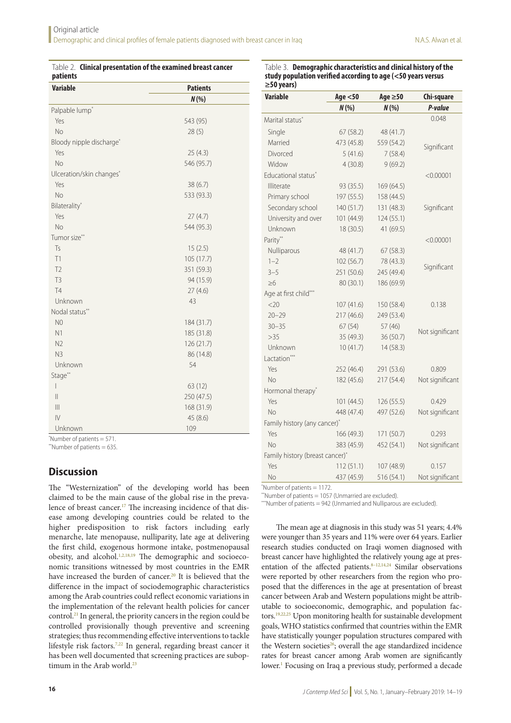| patients<br><b>Variable</b><br><b>Patients</b><br>$N(\%)$<br>Palpable lump <sup>*</sup><br>Yes<br>543 (95)<br><b>No</b><br>28(5)<br>Bloody nipple discharge*<br>Yes<br>25(4.3) | Table 2. Clinical presentation of the examined breast cancer |            |  |
|--------------------------------------------------------------------------------------------------------------------------------------------------------------------------------|--------------------------------------------------------------|------------|--|
|                                                                                                                                                                                |                                                              |            |  |
|                                                                                                                                                                                |                                                              |            |  |
|                                                                                                                                                                                |                                                              |            |  |
|                                                                                                                                                                                |                                                              |            |  |
|                                                                                                                                                                                |                                                              |            |  |
|                                                                                                                                                                                |                                                              |            |  |
|                                                                                                                                                                                |                                                              |            |  |
|                                                                                                                                                                                | <b>No</b>                                                    | 546 (95.7) |  |
| Ulceration/skin changes*                                                                                                                                                       |                                                              |            |  |
| Yes<br>38(6.7)                                                                                                                                                                 |                                                              |            |  |
| <b>No</b><br>533 (93.3)                                                                                                                                                        |                                                              |            |  |
| Bilaterality*                                                                                                                                                                  |                                                              |            |  |
| Yes<br>27(4.7)                                                                                                                                                                 |                                                              |            |  |
| <b>No</b><br>544 (95.3)                                                                                                                                                        |                                                              |            |  |
| Tumor size**                                                                                                                                                                   |                                                              |            |  |
| $\mathsf{Ts}$<br>15(2.5)                                                                                                                                                       |                                                              |            |  |
| T1<br>105 (17.7)                                                                                                                                                               |                                                              |            |  |
| T <sub>2</sub><br>351 (59.3)                                                                                                                                                   |                                                              |            |  |
| T <sub>3</sub><br>94 (15.9)                                                                                                                                                    |                                                              |            |  |
| T4<br>27(4.6)                                                                                                                                                                  |                                                              |            |  |
| 43<br>Unknown                                                                                                                                                                  |                                                              |            |  |
| Nodal status**                                                                                                                                                                 |                                                              |            |  |
| N <sub>0</sub><br>184 (31.7)                                                                                                                                                   |                                                              |            |  |
| N1<br>185 (31.8)                                                                                                                                                               |                                                              |            |  |
| N <sub>2</sub><br>126 (21.7)                                                                                                                                                   |                                                              |            |  |
| N <sub>3</sub><br>86 (14.8)                                                                                                                                                    |                                                              |            |  |
| Unknown<br>54                                                                                                                                                                  |                                                              |            |  |
| Stage**                                                                                                                                                                        |                                                              |            |  |
| $\overline{\phantom{a}}$<br>63 (12)                                                                                                                                            |                                                              |            |  |
| $\ $<br>250 (47.5)                                                                                                                                                             |                                                              |            |  |
| $\mathbb{H}$<br>168 (31.9)                                                                                                                                                     |                                                              |            |  |
| IV<br>45 (8.6)                                                                                                                                                                 |                                                              |            |  |
| 109<br>Unknown                                                                                                                                                                 |                                                              |            |  |

\* Number of patients = 571.

\*\*Number of patients  $= 635$ .

#### **Discussion**

The "Westernization" of the developing world has been claimed to be the main cause of the global rise in the prevalence of breast cancer.<sup>17</sup> The increasing incidence of that disease among developing countries could be related to the higher predisposition to risk factors including early menarche, late menopause, nulliparity, late age at delivering the first child, exogenous hormone intake, postmenopausal obesity, and alcohol.<sup>1,2,18,19</sup> The demographic and socioeconomic transitions witnessed by most countries in the EMR have increased the burden of cancer.<sup>20</sup> It is believed that the difference in the impact of sociodemographic characteristics among the Arab countries could reflect economic variations in the implementation of the relevant health policies for cancer control.21 In general, the priority cancers in the region could be controlled provisionally though preventive and screening strategies; thus recommending effective interventions to tackle lifestyle risk factors.7,22 In general, regarding breast cancer it has been well documented that screening practices are suboptimum in the Arab world.<sup>23</sup>

|                  | Table 3. Demographic characteristics and clinical history of the |
|------------------|------------------------------------------------------------------|
|                  | study population verified according to age (<50 years versus     |
| $\geq$ 50 years) |                                                                  |

| <b>Variable</b>                 | Age $<$ 50 | Age $\geq 50$ | Chi-square      |
|---------------------------------|------------|---------------|-----------------|
|                                 | N(% )      | N(% )         | P-value         |
| Marital status <sup>*</sup>     |            |               | 0.048           |
| Single                          | 67(58.2)   | 48 (41.7)     |                 |
| Married                         | 473 (45.8) | 559 (54.2)    | Significant     |
| Divorced                        | 5(41.6)    | 7(58.4)       |                 |
| Widow                           | 4(30.8)    | 9(69.2)       |                 |
| Educational status*             |            |               | < 0.00001       |
| Illiterate                      | 93 (35.5)  | 169 (64.5)    |                 |
| Primary school                  | 197 (55.5) | 158 (44.5)    |                 |
| Secondary school                | 140 (51.7) | 131 (48.3)    | Significant     |
| University and over             | 101 (44.9) | 124 (55.1)    |                 |
| Unknown                         | 18 (30.5)  | 41 (69.5)     |                 |
| Parity**                        |            |               | < 0.00001       |
| Nulliparous                     | 48 (41.7)  | 67 (58.3)     |                 |
| $1 - 2$                         | 102 (56.7) | 78 (43.3)     | Significant     |
| $3 - 5$                         | 251 (50.6) | 245 (49.4)    |                 |
| $\geq 6$                        | 80 (30.1)  | 186 (69.9)    |                 |
| Age at first child***           |            |               |                 |
| <20                             | 107 (41.6) | 150 (58.4)    | 0.138           |
| $20 - 29$                       | 217 (46.6) | 249 (53.4)    |                 |
| $30 - 35$                       | 67(54)     | 57 (46)       | Not significant |
| $>35$                           | 35 (49.3)  | 36 (50.7)     |                 |
| Unknown                         | 10(41.7)   | 14 (58.3)     |                 |
| Lactation***                    |            |               |                 |
| Yes                             | 252 (46.4) | 291 (53.6)    | 0.809           |
| <b>No</b>                       | 182 (45.6) | 217 (54.4)    | Not significant |
| Hormonal therapy*               |            |               |                 |
| Yes                             | 101 (44.5) | 126 (55.5)    | 0.429           |
| <b>No</b>                       | 448 (47.4) | 497 (52.6)    | Not significant |
| Family history (any cancer)*    |            |               |                 |
| Yes                             | 166 (49.3) | 171 (50.7)    | 0.293           |
| No                              | 383 (45.9) | 452 (54.1)    | Not significant |
| Family history (breast cancer)* |            |               |                 |
| Yes                             | 112(51.1)  | 107 (48.9)    | 0.157           |
| No                              | 437 (45.9) | 516 (54.1)    | Not significant |

\* Number of patients = 1172.

\*\*Number of patients = 1057 (Unmarried are excluded).

\*\*\*Number of patients = 942 (Unmarried and Nulliparous are excluded).

The mean age at diagnosis in this study was 51 years; 4.4% were younger than 35 years and 11% were over 64 years. Earlier research studies conducted on Iraqi women diagnosed with breast cancer have highlighted the relatively young age at presentation of the affected patients.<sup>8–12,14,24</sup> Similar observations were reported by other researchers from the region who proposed that the differences in the age at presentation of breast cancer between Arab and Western populations might be attributable to socioeconomic, demographic, and population factors.19,22,25 Upon monitoring health for sustainable development goals, WHO statistics confirmed that countries within the EMR have statistically younger population structures compared with the Western societies<sup>26</sup>; overall the age standardized incidence rates for breast cancer among Arab women are significantly lower.<sup>1</sup> Focusing on Iraq a previous study, performed a decade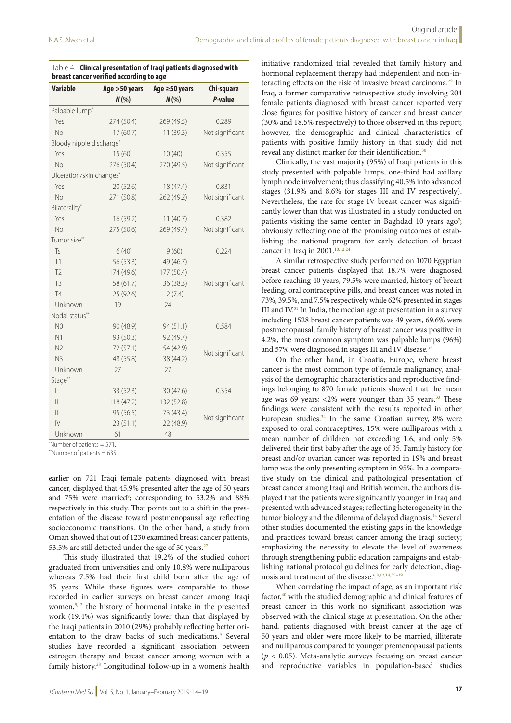| <b>Variable</b>            | Age > 50 years | Age ≥50 years | Chi-square      |
|----------------------------|----------------|---------------|-----------------|
|                            | N(% )          | N(% )         | P-value         |
| Palpable lump <sup>*</sup> |                |               |                 |
| Yes                        | 274 (50.4)     | 269 (49.5)    | 0.289           |
| <b>No</b>                  | 17 (60.7)      | 11(39.3)      | Not significant |
| Bloody nipple discharge*   |                |               |                 |
| Yes                        | 15(60)         | 10(40)        | 0.355           |
| <b>No</b>                  | 276 (50.4)     | 270 (49.5)    | Not significant |
| Ulceration/skin changes*   |                |               |                 |
| Yes                        | 20(52.6)       | 18 (47.4)     | 0.831           |
| <b>No</b>                  | 271 (50.8)     | 262 (49.2)    | Not significant |
| Bilaterality*              |                |               |                 |
| Yes                        | 16 (59.2)      | 11(40.7)      | 0.382           |
| <b>No</b>                  | 275 (50.6)     | 269 (49.4)    | Not significant |
| Tumor size**               |                |               |                 |
| Ts                         | 6(40)          | 9(60)         | 0.224           |
| T1                         | 56 (53.3)      | 49 (46.7)     |                 |
| T <sub>2</sub>             | 174 (49.6)     | 177 (50.4)    |                 |
| T <sub>3</sub>             | 58 (61.7)      | 36(38.3)      | Not significant |
| <b>T4</b>                  | 25 (92.6)      | 2(7.4)        |                 |
| Unknown                    | 19             | 24            |                 |
| Nodal status**             |                |               |                 |
| N <sub>0</sub>             | 90 (48.9)      | 94 (51.1)     | 0.584           |
| N1                         | 93 (50.3)      | 92 (49.7)     |                 |
| N <sub>2</sub>             | 72 (57.1)      | 54 (42.9)     |                 |
| N <sub>3</sub>             | 48 (55.8)      | 38 (44.2)     | Not significant |
| Unknown                    | 27             | 27            |                 |
| Stage**                    |                |               |                 |
| $\overline{1}$             | 33(52.3)       | 30(47.6)      | 0.354           |
| $\mathbb{I}$               | 118 (47.2)     | 132 (52.8)    |                 |
| $\parallel$                | 95 (56.5)      | 73 (43.4)     |                 |
| $\overline{V}$             | 23(51.1)       | 22 (48.9)     | Not significant |
| Unknown                    | 61             | 48            |                 |

| Table 4. Clinical presentation of Iraqi patients diagnosed with |
|-----------------------------------------------------------------|
| breast cancer verified according to age                         |

\* Number of patients = 571.

\*\*Number of patients = 635.

earlier on 721 Iraqi female patients diagnosed with breast cancer, displayed that 45.9% presented after the age of 50 years and 75% were married<sup>9</sup>; corresponding to 53.2% and 88% respectively in this study. That points out to a shift in the presentation of the disease toward postmenopausal age reflecting socioeconomic transitions. On the other hand, a study from Oman showed that out of 1230 examined breast cancer patients, 53.5% are still detected under the age of 50 years.<sup>27</sup>

This study illustrated that 19.2% of the studied cohort graduated from universities and only 10.8% were nulliparous whereas 7.5% had their first child born after the age of 35 years. While these figures were comparable to those recorded in earlier surveys on breast cancer among Iraqi women,<sup>9,12</sup> the history of hormonal intake in the presented work (19.4%) was significantly lower than that displayed by the Iraqi patients in 2010 (29%) probably reflecting better orientation to the draw backs of such medications.<sup>9</sup> Several studies have recorded a significant association between estrogen therapy and breast cancer among women with a family history.28 Longitudinal follow-up in a women's health

initiative randomized trial revealed that family history and hormonal replacement therapy had independent and non-interacting effects on the risk of invasive breast carcinoma.29 In Iraq, a former comparative retrospective study involving 204 female patients diagnosed with breast cancer reported very close figures for positive history of cancer and breast cancer (30% and 18.5% respectively) to those observed in this report; however, the demographic and clinical characteristics of patients with positive family history in that study did not reveal any distinct marker for their identification.<sup>30</sup>

Clinically, the vast majority (95%) of Iraqi patients in this study presented with palpable lumps, one-third had axillary lymph node involvement; thus classifying 40.5% into advanced stages (31.9% and 8.6% for stages III and IV respectively). Nevertheless, the rate for stage IV breast cancer was significantly lower than that was illustrated in a study conducted on patients visiting the same center in Baghdad 10 years ago<sup>9</sup>; obviously reflecting one of the promising outcomes of establishing the national program for early detection of breast cancer in Iraq in 2001.<sup>10,12,24</sup>

A similar retrospective study performed on 1070 Egyptian breast cancer patients displayed that 18.7% were diagnosed before reaching 40 years, 79.5% were married, history of breast feeding, oral contraceptive pills, and breast cancer was noted in 73%, 39.5%, and 7.5% respectively while 62% presented in stages III and IV.<sup>31</sup> In India, the median age at presentation in a survey including 1528 breast cancer patients was 49 years, 69.6% were postmenopausal, family history of breast cancer was positive in 4.2%, the most common symptom was palpable lumps (96%) and 57% were diagnosed in stages III and IV disease.<sup>32</sup>

On the other hand, in Croatia, Europe, where breast cancer is the most common type of female malignancy, analysis of the demographic characteristics and reproductive findings belonging to 870 female patients showed that the mean age was 69 years;  $<$  2% were younger than 35 years.<sup>33</sup> These findings were consistent with the results reported in other European studies. $34$  In the same Croatian survey,  $8\%$  were exposed to oral contraceptives, 15% were nulliparous with a mean number of children not exceeding 1.6, and only 5% delivered their first baby after the age of 35. Family history for breast and/or ovarian cancer was reported in 19% and breast lump was the only presenting symptom in 95%. In a comparative study on the clinical and pathological presentation of breast cancer among Iraqi and British women, the authors displayed that the patients were significantly younger in Iraq and presented with advanced stages; reflecting heterogeneity in the tumor biology and the dilemma of delayed diagnosis.<sup>14</sup> Several other studies documented the existing gaps in the knowledge and practices toward breast cancer among the Iraqi society; emphasizing the necessity to elevate the level of awareness through strengthening public education campaigns and establishing national protocol guidelines for early detection, diagnosis and treatment of the disease.<sup>6,8,12,14,35-39</sup>

When correlating the impact of age, as an important risk factor,<sup>40</sup> with the studied demographic and clinical features of breast cancer in this work no significant association was observed with the clinical stage at presentation. On the other hand, patients diagnosed with breast cancer at the age of 50 years and older were more likely to be married, illiterate and nulliparous compared to younger premenopausal patients  $(p < 0.05)$ . Meta-analytic surveys focusing on breast cancer and reproductive variables in population-based studies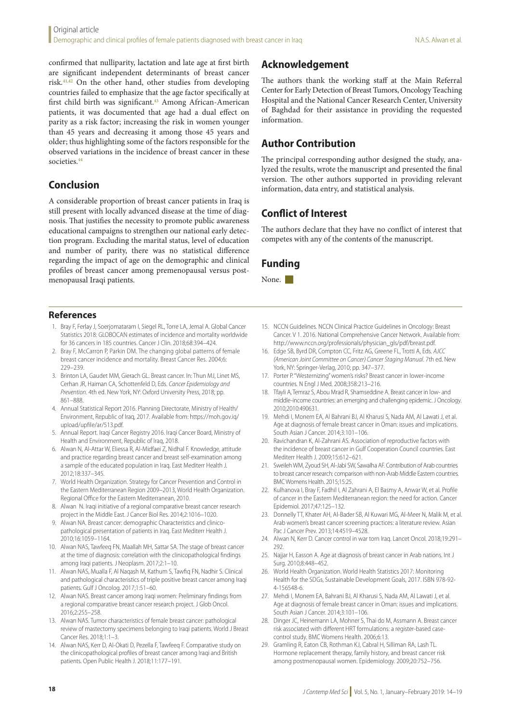confirmed that nulliparity, lactation and late age at first birth are significant independent determinants of breast cancer risk.41,42 On the other hand, other studies from developing countries failed to emphasize that the age factor specifically at first child birth was significant.<sup>43</sup> Among African-American patients, it was documented that age had a dual effect on parity as a risk factor; increasing the risk in women younger than 45 years and decreasing it among those 45 years and older; thus highlighting some of the factors responsible for the observed variations in the incidence of breast cancer in these societies.<sup>44</sup>

## **Conclusion**

A considerable proportion of breast cancer patients in Iraq is still present with locally advanced disease at the time of diagnosis. That justifies the necessity to promote public awareness educational campaigns to strengthen our national early detection program. Excluding the marital status, level of education and number of parity, there was no statistical difference regarding the impact of age on the demographic and clinical profiles of breast cancer among premenopausal versus postmenopausal Iraqi patients.

#### **References**

- 1. Bray F, Ferlay J, Soerjomataram I, Siegel RL, Torre LA, Jemal A. Global Cancer Statistics 2018: GLOBOCAN estimates of incidence and mortality worldwide for 36 cancers in 185 countries. Cancer J Clin. 2018;68:394–424.
- 2. Bray F, McCarron P, Parkin DM. The changing global patterns of female breast cancer incidence and mortality. Breast Cancer Res. 2004;6: 229–239.
- 3. Brinton LA, Gaudet MM, Gierach GL. Breast cancer. In: Thun MJ, Linet MS, Cerhan JR, Haiman CA, Schottenfeld D, Eds. *Cancer Epidemiology and Prevention*. 4th ed. New York, NY: Oxford University Press, 2018; pp. 861–888.
- 4. Annual Statistical Report 2016. Planning Directorate, Ministry of Health/ Environment, Republic of Iraq, 2017. Available from: https://moh.gov.iq/ upload/upfile/ar/513.pdf.
- 5. Annual Report. Iraqi Cancer Registry 2016. Iraqi Cancer Board, Ministry of Health and Environment, Republic of Iraq, 2018.
- 6. Alwan N, Al-Attar W, Eliessa R, Al-Midfaei Z, Nidhal F. Knowledge, attitude and practice regarding breast cancer and breast self-examination among a sample of the educated population in Iraq. East Mediterr Health J. 2012;18:337–345.
- 7. World Health Organization. Strategy for Cancer Prevention and Control in the Eastern Mediterranean Region 2009–2013, World Health Organization. Regional Office for the Eastern Mediterranean, 2010.
- 8. Alwan N. Iraqi initiative of a regional comparative breast cancer research project in the Middle East. J Cancer Biol Res. 2014;2:1016–1020.
- 9. Alwan NA. Breast cancer: demographic Characteristics and clinicopathological presentation of patients in Iraq. East Mediterr Health J. 2010;16:1059–1164.
- 10. Alwan NAS, Tawfeeq FN, Maallah MH, Sattar SA. The stage of breast cancer at the time of diagnosis: correlation with the clinicopathological findings among Iraqi patients. J Neoplasm. 2017;2:1–10.
- 11. Alwan NAS, Mualla F, Al Naqash M, Kathum S, Tawfiq FN, Nadhir S. Clinical and pathological characteristics of triple positive breast cancer among Iraqi patients. Gulf J Oncolog. 2017;1:51–60.
- 12. Alwan NAS. Breast cancer among Iraqi women: Preliminary findings from a regional comparative breast cancer research project. J Glob Oncol. 2016;2:255–258.
- 13. Alwan NAS. Tumor characteristics of female breast cancer: pathological review of mastectomy specimens belonging to Iraqi patients. World J Breast Cancer Res. 2018;1:1–3.
- 14. Alwan NAS, Kerr D, Al-Okati D, Pezella F, Tawfeeq F. Comparative study on the clinicopathological profiles of breast cancer among Iraqi and British patients. Open Public Health J. 2018;11:177–191.

## **Acknowledgement**

The authors thank the working staff at the Main Referral Center for Early Detection of Breast Tumors, Oncology Teaching Hospital and the National Cancer Research Center, University of Baghdad for their assistance in providing the requested information.

## **Author Contribution**

The principal corresponding author designed the study, analyzed the results, wrote the manuscript and presented the final version. The other authors supported in providing relevant information, data entry, and statistical analysis.

## **Conflict of Interest**

The authors declare that they have no conflict of interest that competes with any of the contents of the manuscript.

## **Funding**

None.

- 15. NCCN Guidelines. NCCN Clinical Practice Guidelines in Oncology: Breast Cancer. V 1. 2016. National Comprehensive Cancer Network. Available from: http://www.nccn.org/professionals/physician\_gls/pdf/breast.pdf.
- 16. Edge SB, Byrd DR, Compton CC, Fritz AG, Greene FL, Trotti A, Eds. *AJCC (American Joint Committee on Cancer) Cancer Staging Manual*. 7th ed. New York, NY: Springer-Verlag, 2010; pp. 347–377.
- 17. Porter P. "Westernizing" women's risks? Breast cancer in lower-income countries. N Engl J Med. 2008;358:213–216.
- 18. Tfayli A, Temraz S, Abou Mrad R, Shamseddine A. Breast cancer in low- and middle-income countries: an emerging and challenging epidemic. J Oncology. 2010;2010:490631.
- 19. Mehdi I, Monem EA, Al Bahrani BJ, Al Kharusi S, Nada AM, Al Lawati J, et al. Age at diagnosis of female breast cancer in Oman: issues and implications. South Asian J Cancer. 2014;3:101–106.
- 20. Ravichandran K, Al-Zahrani AS. Association of reproductive factors with the incidence of breast cancer in Gulf Cooperation Council countries. East Mediterr Health J. 2009;15:612–621.
- 21. Sweileh WM, Zyoud SH, Al-Jabi SW, Sawalha AF. Contribution of Arab countries to breast cancer research: comparison with non-Arab Middle Eastern countries. BMC Womens Health. 2015;15:25.
- 22. Kulhanova I, Bray F, Fadhil I, Al Zahrani A, El Basmy A, Anwar W, et al. Profile of cancer in the Eastern Mediterranean region: the need for action. Cancer Epidemiol. 2017;47:125–132.
- 23. Donnelly TT, Khater AH, Al-Bader SB, Al Kuwari MG, Al-Meer N, Malik M, et al. Arab women's breast cancer screening practices: a literature review. Asian Pac J Cancer Prev. 2013;14:4519–4528.
- 24. Alwan N, Kerr D. Cancer control in war torn Iraq. Lancet Oncol. 2018;19:291– 292.
- 25. Najjar H, Easson A. Age at diagnosis of breast cancer in Arab nations. Int J Surg. 2010;8:448–452.
- 26. World Health Organization. World Health Statistics 2017: Monitoring Health for the SDGs, Sustainable Development Goals, 2017. ISBN 978-92- 4-156548-6.
- 27. Mehdi I, Monem EA, Bahrani BJ, Al Kharusi S, Nada AM, Al Lawati J, et al. Age at diagnosis of female breast cancer in Oman: issues and implications. South Asian J Cancer. 2014;3:101–106.
- 28. Dinger JC, Heinemann LA, Mohner S, Thai do M, Assmann A. Breast cancer risk associated with different HRT formulations: a register-based casecontrol study. BMC Womens Health. 2006;6:13.
- 29. Gramling R, Eaton CB, Rothman KJ, Cabral H, Silliman RA, Lash TL. Hormone replacement therapy, family history, and breast cancer risk among postmenopausal women. Epidemiology. 2009;20:752–756.